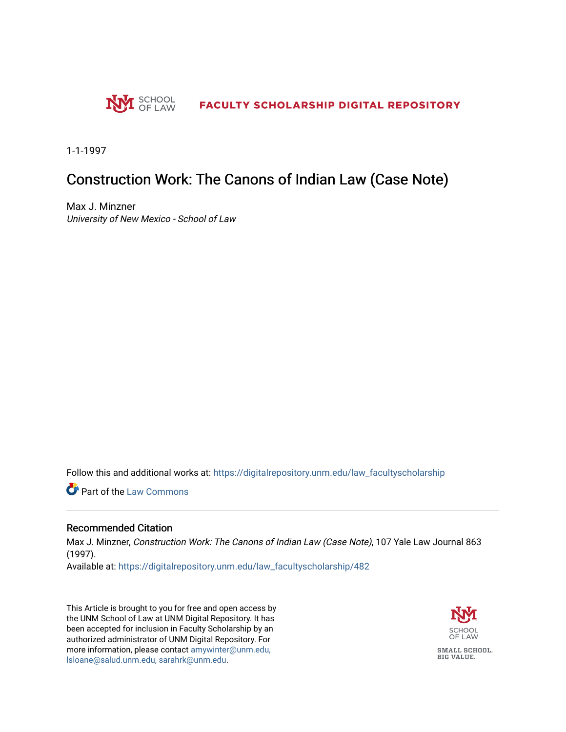

1-1-1997

## Construction Work: The Canons of Indian Law (Case Note)

Max J. Minzner University of New Mexico - School of Law

Follow this and additional works at: [https://digitalrepository.unm.edu/law\\_facultyscholarship](https://digitalrepository.unm.edu/law_facultyscholarship?utm_source=digitalrepository.unm.edu%2Flaw_facultyscholarship%2F482&utm_medium=PDF&utm_campaign=PDFCoverPages) 

Part of the [Law Commons](http://network.bepress.com/hgg/discipline/578?utm_source=digitalrepository.unm.edu%2Flaw_facultyscholarship%2F482&utm_medium=PDF&utm_campaign=PDFCoverPages)

#### Recommended Citation

Max J. Minzner, Construction Work: The Canons of Indian Law (Case Note), 107 Yale Law Journal 863 (1997).

Available at: [https://digitalrepository.unm.edu/law\\_facultyscholarship/482](https://digitalrepository.unm.edu/law_facultyscholarship/482?utm_source=digitalrepository.unm.edu%2Flaw_facultyscholarship%2F482&utm_medium=PDF&utm_campaign=PDFCoverPages) 

This Article is brought to you for free and open access by the UNM School of Law at UNM Digital Repository. It has been accepted for inclusion in Faculty Scholarship by an authorized administrator of UNM Digital Repository. For more information, please contact [amywinter@unm.edu,](mailto:amywinter@unm.edu,%20lsloane@salud.unm.edu,%20sarahrk@unm.edu)  [lsloane@salud.unm.edu, sarahrk@unm.edu.](mailto:amywinter@unm.edu,%20lsloane@salud.unm.edu,%20sarahrk@unm.edu)

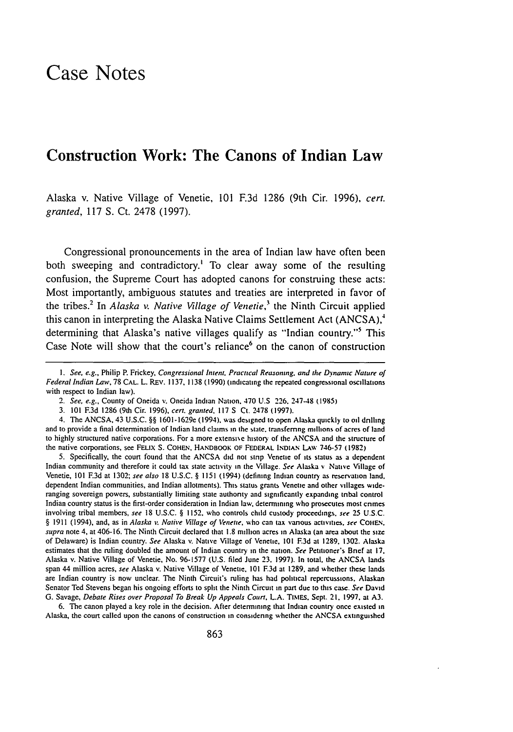# Case Notes

### Construction Work: The Canons of Indian Law

Alaska v. Native Village of Venetie, **101 F.3d 1286** (9th Cir. **1996),** *cert. granted,* 117 S. Ct. 2478 (1997).

Congressional pronouncements in the area of Indian law have often been both sweeping and contradictory.<sup>1</sup> To clear away some of the resulting confusion, the Supreme Court has adopted canons for construing these acts: Most importantly, ambiguous statutes and treaties are interpreted in favor of the tribes.2 In *Alaska v. Native Village of Venetie,3* the Ninth Circuit applied this canon in interpreting the Alaska Native Claims Settlement Act **(ANCSA), <sup>4</sup>** determining that Alaska's native villages qualify as "Indian country."<sup>5</sup> This Case Note will show that the court's reliance $6$  on the canon of construction

5. Specifically, the court found that the ANCSA did not strip Venetie of its status as a dependent Indian community and therefore it could tax state activity in the Village. *See* Alaska v Native Village of Venetie, 101 **F.3d** at 1302; *see also* 18 U.S.C. § 1151 (1994) (defining Indian country as rescrvation land. dependent Indian communities, and Indian allotments). This status grants Venetie and other villages wideranging sovereign powers, substantially limiting state authority and significantly expanding tribal control Indian country status is the first-order consideration in Indian law, determining who prosecutes most crimes involving tribal members, see 18 U.S.C. § 1152, who controls child custody proceedings, *see 25* U.S.C. § 1911 (1994), and, as in *Alaska v Native Village of Venette.* who can tax various activities, *see* COiE.. supra note 4, at 406-16. The Ninth Circuit declared that 1.8 million acres in Alaska (an area about the size of Delaware) is Indian country. See Alaska v. Native Village of Venetic. 101 **173d** at 1289. 1302. Alaska estimates that the ruling doubled the amount of Indian country in the nation. *See Petitioner's Brief at 17*, Alaska v. Native Village of Venetie, No. 96-1577 (U.S. filed June 23. 1997). In total, the ANCSA lands span 44 million acres, *see* Alaska v. Native Village of Venetie, 101 **F3d** at 1289. and whether these lands are Indian country is now unclear. The Ninth Circuit's ruling has had political repercussions. Alaskan Senator Ted Stevens began his ongoing efforts to split the Ninth Circuit in part due to this case. *See* David G. Savage, *Debate Rises over Proposal To Break Up Appeals Court.* L.A. TIMES. Sept. 21. 1997. at **A3.**

6. The canon played a key role in the decision. After determining that Indian country once existed in Alaska, the court called upon the canons of construction in considering whether the ANCSA extinguished

*I. See, e.g.,* Philip P. Frickey, Congressional Intent. **Practical** Reasoning. and *tie* Dynamic Nature **of** *Federal Indian Law,* 78 CAL. L. REv. 1137, 1138 (1990) (indicating the repeated congressional oscillations with respect to Indian law).

<sup>2.</sup> See, e.g., County of Oneida v. Oneida Indian Nation. 470 **U.S 226.** 24748 **(1985)**

<sup>3.</sup> **101 F3d** 1286 (9th Cir. 1996), cert. granted. 117 S Ct. 2478 **(1997).**

<sup>4.</sup> The ANCSA, 43 U.S.C. §§ 1601-1629e (1994), was designed to open Alaska quickly to oil drilling and to provide a final determination of Indian land claims in the state. transferring millions of acres of land to highly structured native corporations. For a more extensive history of the ANCSA and the structure of the native corporations, see FELix S. **COHEN.** HANDBOOK OF FEDERAL **INDIAN LAw** 746-57 (1982)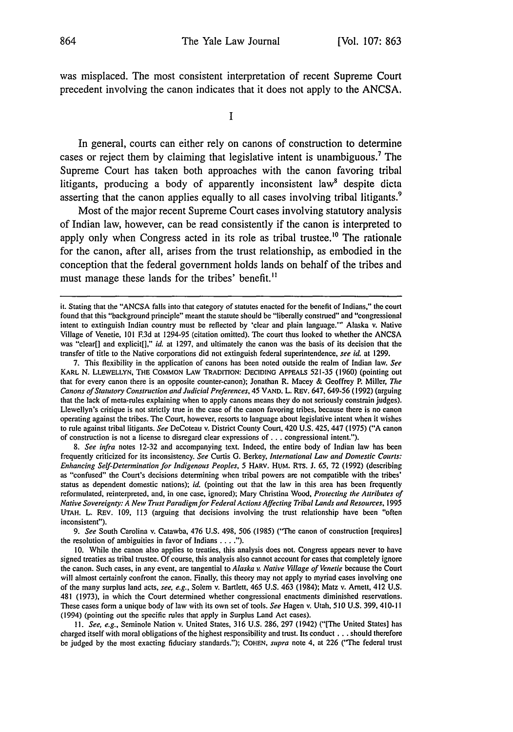was misplaced. The most consistent interpretation of recent Supreme Court precedent involving the canon indicates that it does not apply to the ANCSA.

**I**

In general, courts can either rely on canons of construction to determine cases or reject them by claiming that legislative intent is unambiguous.<sup>7</sup> The Supreme Court has taken both approaches with the canon favoring tribal litigants, producing a body of apparently inconsistent law<sup>8</sup> despite dicta asserting that the canon applies equally to all cases involving tribal litigants.<sup>9</sup>

Most of the major recent Supreme Court cases involving statutory analysis of Indian law, however, can be read consistently if the canon is interpreted to apply only when Congress acted in its role as tribal trustee.<sup>10</sup> The rationale for the canon, after all, arises from the trust relationship, as embodied in the conception that the federal government holds lands on behalf of the tribes and must manage these lands for the tribes' benefit.<sup>11</sup>

*9. See* South Carolina v. Catawba, 476 U.S. 498, 506 (1985) ("The canon of construction [requires] the resolution of ambiguities in favor of Indians **....").**

**10.** While the canon also applies to treaties, this analysis does not. Congress appears never to have signed treaties as tribal trustee. Of course, this analysis also cannot account for cases that completely ignore the canon. Such cases, in any event, are tangential to *Alaska v. Native Village of Venetie* because the Court will almost certainly confront the canon. Finally, this theory may not apply to myriad cases involving one of the many surplus land acts, *see, e.g.,* Solem v. Bartlett, 465 U.S. 463 (1984); Matz v. Arett, 412 U.S. 481 (1973), in which the Court determined whether congressional enactments diminished reservations. These cases form a unique body of law with its own set of tools. *See* Hagen v. Utah, 510 U.S. 399, 4 10-lI (1994) (pointing out the specific rules that apply in Surplus Land Act cases).

**11.** *See, e.g.,* Seminole Nation v. United States, 316 U.S. 286, 297 (1942) ("[The United States] has charged itself with moral obligations of the highest responsibility and trust. Its conduct **...** should therefore be judged by the most exacting fiduciary standards."); **COHEN,** *supra* note 4, at 226 ("The federal trust

it. Stating that the "ANCSA falls into that category of statutes enacted for the benefit of Indians," the court found that this "background principle" meant the statute should be "liberally construed" and "congressional intent to extinguish Indian country must be reflected by 'clear and plain language."' Alaska v. Native Village of Venetie, 101 **F.3d** at 1294-95 (citation omitted). The court thus looked to whether the ANCSA was "clear[] and explicit[]," *id.* at 1297, and ultimately the canon was the basis of its decision that the transfer of title to the Native corporations did not extinguish federal superintendence, *see id.* at 1299.

<sup>7.</sup> This flexibility in the application of canons has been noted outside the realm of Indian law. *See* KARL N. LLEWELLYN, THE **COMMON** LAW TRADITION: **DECIDING** APPEALS 521-35 (1960) (pointing out that for every canon there is an opposite counter-canon); Jonathan R. Macey & Geoffrey P. Miller, *The Canons of Statutory Construction and Judicial Preferences,* 45 VAND. L. REv. 647, 649-56 (1992) (arguing that the lack of meta-rules explaining when to apply canons means they do not seriously constrain judges). Llewellyn's critique is not strictly true in the case of the canon favoring tribes, because there is no canon operating against the tribes. The Court, however, resorts to language about legislative intent when it wishes to rule against tribal litigants. *See* DeCoteau v. District County Court, 420 U.S. 425, 447 (1975) ("A canon of construction is not a license to disregard clear expressions of **...** congressional intent.").

*<sup>8.</sup> See infra* notes 12-32 and accompanying text. Indeed, the entire body of Indian law has been frequently criticized for its inconsistency. *See* Curtis G. Berkey, *International Law and Domestic Courts: Enhancing Self-Determination for Indigenous Peoples, 5* HARV. HUM. RTs. **J.** 65, 72 (1992) (describing as "confused" the Court's decisions determining when tribal powers are not compatible with the tribes' status as dependent domestic nations); *id.* (pointing out that the law in this area has been frequently reformulated, reinterpreted, and, in one case, ignored); Mary Christina Wood, *Protecting the Attributes of Native Sovereignty: A New Trust Paradigm for Federal Actions Affecting Tribal Lands and Resources,* <sup>1995</sup> **UTAH.** L. REv. 109, **113** (arguing that decisions involving the trust relationship have been "often inconsistent").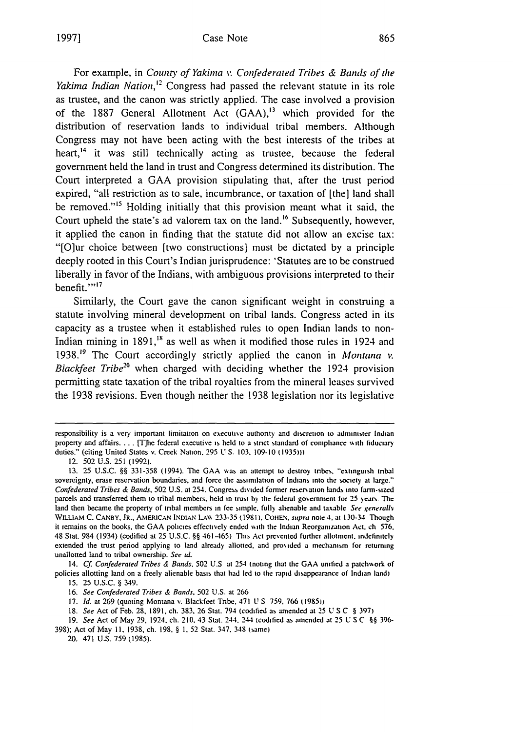For example, in *County of Yakima v. Confederated Tribes & Bands of the Yakima Indian Nation,'2* Congress had passed the relevant statute in its role as trustee, and the canon was strictly applied. The case involved a provision of the **1887** General Allotment Act **(GAA), <sup>13</sup>**which provided for the distribution of reservation lands to individual tribal members. Although Congress may not have been acting with the best interests of the tribes at heart,<sup>14</sup> it was still technically acting as trustee, because the federal government held the land in trust and Congress determined its distribution. The Court interpreted a **GAA** provision stipulating that, after the trust period expired, "all restriction as to sale, incumbrance, or taxation of [the] land shall be removed."<sup>15</sup> Holding initially that this provision meant what it said, the Court upheld the state's ad valorem tax on the land.<sup>16</sup> Subsequently, however, it applied the canon in finding that the statute did not allow an excise tax: "[O]ur choice between [two constructions] must **be** dictated **by** a principle deeply rooted in this Court's Indian jurisprudence: 'Statutes are to **be** construed liberally in favor of the Indians, with ambiguous provisions interpreted to their benefit."<sup>17</sup>

Similarly, the Court gave the canon significant weight in construing a statute involving mineral development on tribal lands. Congress acted in its capacity as a trustee when it established rules to open Indian lands to non-Indian mining in 1891,<sup>18</sup> as well as when it modified those rules in 1924 and 1938.'9 The Court accordingly strictly applied the canon in *Montana v. Blackfeet Tribe20* when charged with deciding whether the 1924 provision permitting state taxation of the tribal royalties from the mineral leases survived the **1938** revisions. Even though neither the **1938** legislation nor its legislative

14. Cf. Confederated Tribes & Bands, 502 U.S at 254 (noting that the GAA unified a patchwork of policies allotting land on a freely alienable basis that had led to the rapid disappearance of Indian land) 15. 25 U.S.C. § 349.

16. See Confederated Tribes & Bands. 502 U.S. at 266

17. *Id.* at 269 (quoting Montana v. Blackfect Tribe. 471 U S 759. 766 **l1985))**

18. *See* Act of Feb. 28, 1891, ch. 383, 26 Stat. 794 (codified as amended at 25 U **S** C § 397)

**19.** *See* Act of May **29,** 1924, ch. 210, 43 Siat. 244. 244 icoditfied as amended at 25 U SC **§§** 396-

398); Act of May **11,** 1938, ch. 198, § **1,** 52 Stat. 347. 348 (same)

20. 471 U.S. 759 (1985).

responsibility is a very important limitation on executive authonty and discretion to administer Indian property and affairs.... [T]he federal executive is **held** to a **stnct** standard of compliance %ith fiduciary duties." (citing United States v. Creek Nation. 295 U **S.** 103. 109-10 **(1935)))**

<sup>12. 502</sup> U.S. 251 (1992).

<sup>13. 25</sup> U.S.C. **§** 331-358 (1994). The GAA was an attempt to destroy tnbes, "'extinguish tibal sovereignty, erase reservation boundaries, and force the assimilation of Indians into the society at large." Confederated Tribes & Bands, 502 U.S. at 254. Congress divided former reser ation lands into farm-sizcd parcels and transferred them to tribal members, held in **trust by the federal govemment for 25** )ears. The land then became the property of tribal members in fee simple, fully alienable and taxable See generally WILLIAM C. CANBY, JR., AMERICAN INDIAN LAW 233-35 (1981). COHEN, *supra* note 4, at 130-34 Though **it remains** on the books, the GAA policies effectively ended %ith the Indian Reorganization Act. ch 576. 48 Stat. 984 (1934) (codified at 25 U.S.C. **§§** 461465) This Act prevented further allotment. indefinitely extended the trust period applying to land already allotted, and provided a mechanism for returning unallotted land to tribal ownership. See **id.**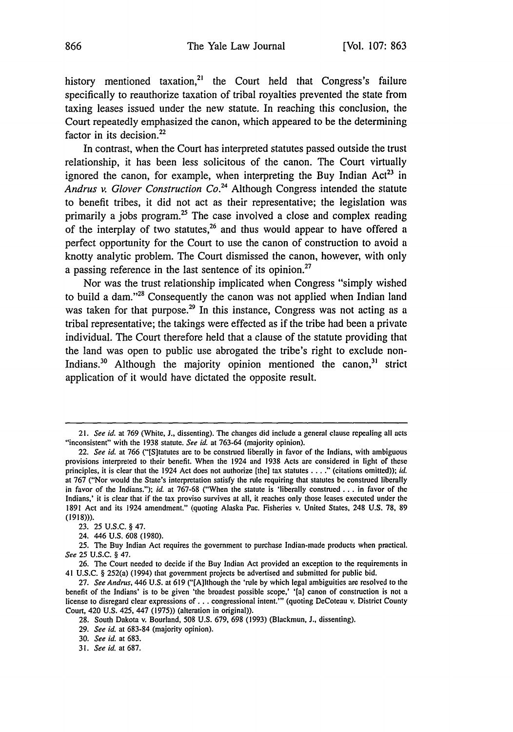history mentioned taxation,<sup>21</sup> the Court held that Congress's failure specifically to reauthorize taxation of tribal royalties prevented the state from taxing leases issued under the new statute. In reaching this conclusion, the Court repeatedly emphasized the canon, which appeared to **be** the determining factor in its decision. $^{22}$ 

In contrast, when the Court has interpreted statutes passed outside the trust relationship, it has been less solicitous of the canon. The Court virtually ignored the canon, for example, when interpreting the Buy Indian Act<sup>23</sup> in *Andrus v. Glover Construction Co.24* Although Congress intended the statute to benefit tribes, it did not act as their representative; the legislation was primarily a jobs program.<sup>25</sup> The case involved a close and complex reading of the interplay of two statutes,<sup>26</sup> and thus would appear to have offered a perfect opportunity for the Court to use the canon of construction to avoid a knotty analytic problem. The Court dismissed the canon, however, with only a passing reference in the last sentence of its opinion.<sup>27</sup>

Nor was the trust relationship implicated when Congress "simply wished to build a dam."<sup>28</sup> Consequently the canon was not applied when Indian land was taken for that purpose.<sup>29</sup> In this instance, Congress was not acting as a tribal representative; the takings were effected as if the tribe had been a private individual. The Court therefore held that a clause of the statute providing that the land was open to public use abrogated the tribe's right to exclude non-Indians.<sup>30</sup> Although the majority opinion mentioned the canon,<sup>31</sup> strict application of it would have dictated the opposite result.

<sup>21.</sup> *See id.* at 769 (White, J., dissenting). **The** changes did include a general clause repealing all acts "inconsistent" with the **1938** statute. *See id.* at **763-64** (majority opinion).

<sup>22.</sup> *See id.* at 766 ("[S]tatutes are to be construed liberally in favor of the Indians, with ambiguous provisions interpreted to their benefit. When the 1924 and **1938** Acts are considered in light of these principles, it is clear that the 1924 Act does not authorize [the] tax statutes **....** (citations omitted)); *id.* at 767 ("Nor would the State's interpretation satisfy the rule requiring that statutes **be** construed liberally in favor of the Indians."); *id.* at 767-68 ("When the statute is 'liberally construed **...** in favor of the Indians,' it is clear that if the tax proviso survives at all, it reaches only those leases executed under the 1891 Act and its 1924 amendment." (quoting Alaska Pac. Fisheries v. United States, 248 U.S. **78,** 89 (1918))).

<sup>23. 25</sup> U.S.C. § 47.

<sup>24. 446</sup> U.S. 608 (1980).

<sup>25.</sup> **The** Buy Indian Act requires the government to purchase Indian-made products when practical. *See* 25 U.S.C. § 47.

<sup>26.</sup> **The** Court needed to decide if the Buy Indian Act provided an exception to the requirements in 41 U.S.C. § 252(a) (1994) that government projects be advertised and submitted for public bid.

<sup>27.</sup> *See Andrus,* 446 U.S. at 619 ("[A]lthough the 'rule **by** which legal ambiguities are resolved to the benefit of the Indians' is to be given 'the broadest possible scope,' '[a] canon of construction is not a license to disregard clear expressions of **...** congressional intent."' (quoting DeCoteau v. District County Court, 420 U.S. 425, 447 (1975)) (alteration in original)).

<sup>28.</sup> South Dakota v. Bourland, 508 U.S. 679, 698 (1993) (Blackmun, **J.,** dissenting).

<sup>29.</sup> *See id.* at 683-84 (majority opinion).

<sup>30.</sup> *See id.* at 683.

<sup>31.</sup> *See id.* at 687.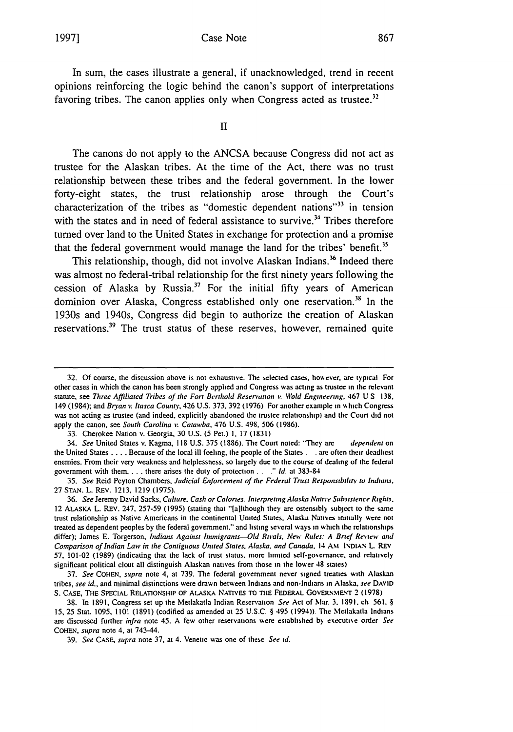#### Case Note

In sum, the cases illustrate a general, if unacknowledged, trend in recent opinions reinforcing the logic behind the canon's support of interpretations favoring tribes. The canon applies only when Congress acted as trustee.<sup>32</sup>

II

The canons do not apply to the **ANCSA** because Congress did not act as trustee for the Alaskan tribes. At the time of the Act, there was no trust relationship between these tribes and the federal government. In the lower forty-eight states, the trust relationship arose through the Court's characterization of the tribes as "domestic dependent nations"<sup>33</sup> in tension with the states and in need of federal assistance to survive.<sup>34</sup> Tribes therefore turned over land to the United States in exchange for protection and a promise that the federal government would manage the land for the tribes' benefit.<sup>35</sup>

This relationship, though, did not involve Alaskan Indians.<sup>36</sup> Indeed there was almost no federal-tribal relationship for the first ninety years following the cession of Alaska **by** Russia.3 For the initial **fifty** years of American dominion over Alaska, Congress established only one reservation.<sup>38</sup> In the 1930s and 1940s, Congress did begin to authorize the creation of Alaskan reservations.<sup>39</sup> The trust status of these reserves, however, remained quite

<sup>32.</sup> Of course, the discussion above is not exhaustive. The selected cases. hoskever. are typical For other cases in which the canon has been strongly applied and Congress was acting as trustee in the relevant statute, see *Three Affiliated Tribes of the Fort Berthold Reservation v. Wbld Engineering.* 467 U S 138. 149 (1984); and *Bryan v. Itasca County*, 426 U.S. 373, 392 (1976) For another example in which Congress was not acting as trustee (and indeed, explicitly abandoned the trustee relationship) and the Court **did** not apply the canon, see *South Carolina %:. Catawba,* 476 **U.S.** 498. 506 (1986).

<sup>33.</sup> Cherokee Nation v. Georgia. 30 U.S. (5 Pet.) I. 17 **(1831)**

<sup>34.</sup> *See* United States v. Kagma, 118 U.S. 375 (1886). The Court noted: "lhey are *dependent* on the United States .... Because of the local ill feeling, the people of the States . .**ac** often their deadliest enemies. From their very weakness and helplessness, so largely due to the course of dealing of the federal government with them **....** there arises the duty of protection.. *." Id.* at 383-84

<sup>35.</sup> *See* Reid Peyton Chambers, *Judicial Enforcement of the Federal Trust Responsibilith to Indians.* 27 **STAN.** L. REV. 1213, 1219 (1975).

<sup>36.</sup> *See* Jeremy David Sacks, *Culture. Cash or Calories. Interpreting Alaska Native Subsistence Rights.* 12 ALASKA L. REV. 247, 257-59 (1995) (stating that "'[allthough they are ostensibly subject to the same trust relationship as Native Americans in the continental United States, Alaska Natives initially were not treated as dependent peoples by the federal government." and listing several ways in which the relationships differ); James E. Torgerson, *Indians Against Immigrants-Old Rivals. New Rules: A Brief Reniew and Comparison of Indian Law in the Contiguous United States, Alaska, and Canada, 14 AM INDIAN L. REV* 57, 101-02 (1989) (indicating that the lack of trust status, more limited self-gosemance, and relatively significant political clout all distinguish Alaskan natives from those in the lower 48 states)

<sup>37.</sup> *See* **COHEN,** *supra* note **4.** at 739. The federal government never signed treaties with Alaskan tribes, *see id.,* and minimal distinctions were drawn between Indians and non-Indians in Alaska. *see DAVID* S. CASE, THE SPECIAL RELATIONSHIP OF ALASKA NATIVES TO THE FEDERAL GOVERNMENT 2 (1978)

**<sup>38.</sup>** In **1891,** Congress set up the Metlakatla Indian Reservation *See* Act of Mar. **3.** 1891. ch 561. § **15, 25** Stat. 1095, **1101** (1891) (codified as amended at 25 **U.S.C.** § 495 (1994)). The Metlakatla Indians are discussed further *infra* note 45. A few other reservations were established by executive order See **COHEN,** *supra* note 4, at 743-44.

**<sup>39.</sup>** *See* **CASE,** *supra* note **37,** at 4. Venetie was one of these *See id.*